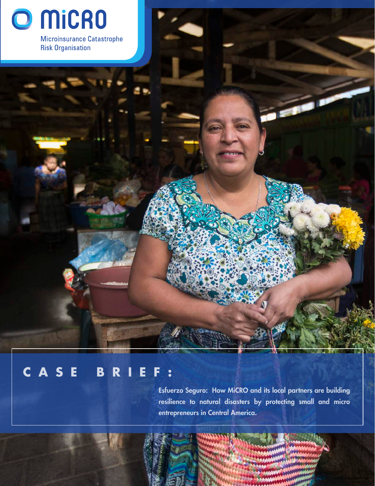

**Risk Organisation** 

# **CASE BRIEF:**

Esfuerzo Seguro: How MiCRO and its local partners are building resilience to natural disasters by protecting small and micro entrepreneurs in Central America.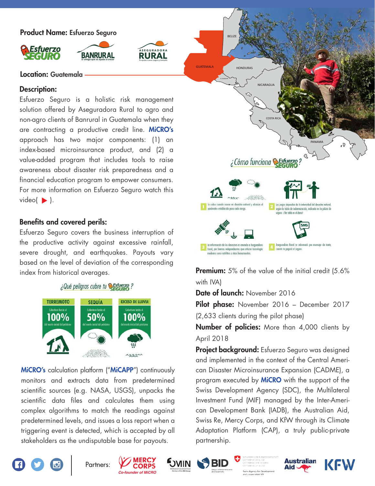Product Name: Esfuerzo Seguro





**RURAL** 

#### Location: Guatemala

#### Description:

Esfuerzo Seguro is a holistic risk management solution offered by Aseguradora Rural to agro and non-agro clients of Banrural in Guatemala when they are contracting a productive credit line. MiCRO's approach has two major components: (1) an index-based microinsurance product, and (2) a value-added program that includes tools to raise awareness about disaster risk preparedness and a financial education program to empower consumers. For more information on Esfuerzo Seguro watch this video( $\blacktriangleright$ ).

## Benefits and covered perils:

Esfuerzo Seguro covers the business interruption of the productive activity against excessive rainfall, severe drought, and earthquakes. Payouts vary based on the level of deviation of the corresponding

### ¿Qué peligros cubre tu estuerzo?



MiCRO's calculation platform ("MiCAPP") continuously monitors and extracts data from predetermined scientific sources (e.g. NASA, USGS), unpacks the scientific data files and calculates them using complex algorithms to match the readings against predetermined levels, and issues a loss report when a triggering event is detected, which is accepted by all stakeholders as the undisputable base for payouts.



index from historical averages. **Premium:** 5% of the value of the initial credit (5.6%) with IVA)

Date of launch: November 2016

Pilot phase: November 2016 - December 2017

(2,633 clients during the pilot phase)

**Number of policies:** More than 4,000 clients by April 2018

Project background: Esfuerzo Seguro was designed and implemented in the context of the Central American Disaster Microinsurance Expansion (CADME), a program executed by **MiCRO** with the support of the Swiss Development Agency (SDC), the Multilateral Investment Fund (MIF) managed by the Inter-American Development Bank (IADB), the Australian Aid, Swiss Re, Mercy Corps, and KfW through its Climate Adaptation Platform (CAP), a truly public-private partnership.













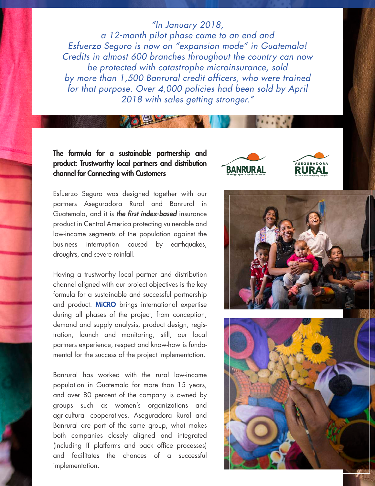## *"In January 2018,*

*a 12-month pilot phase came to an end and Esfuerzo Seguro is now on "expansion mode" in Guatemala! Credits in almost 600 branches throughout the country can now be protected with catastrophe microinsurance, sold by more than 1,500 Banrural credit officers, who were trained for that purpose. Over 4,000 policies had been sold by April 2018 with sales getting stronger."*

## The formula for a sustainable partnership and product: Trustworthy local partners and distribution channel for Connecting with Customers

Esfuerzo Seguro was designed together with our partners Aseguradora Rural and Banrural in Guatemala, and it is *the first index-based* insurance product in Central America protecting vulnerable and low-income segments of the population against the business interruption caused by earthquakes, droughts, and severe rainfall.

Having a trustworthy local partner and distribution channel aligned with our project objectives is the key formula for a sustainable and successful partnership and product. MiCRO brings international expertise during all phases of the project, from conception, demand and supply analysis, product design, registration, launch and monitoring, still, our local partners experience, respect and know-how is fundamental for the success of the project implementation.

Banrural has worked with the rural low-income population in Guatemala for more than 15 years, and over 80 percent of the company is owned by groups such as women's organizations and agricultural cooperatives. Aseguradora Rural and Banrural are part of the same group, what makes both companies closely aligned and integrated (including IT platforms and back office processes) and facilitates the chances of a successful implementation.